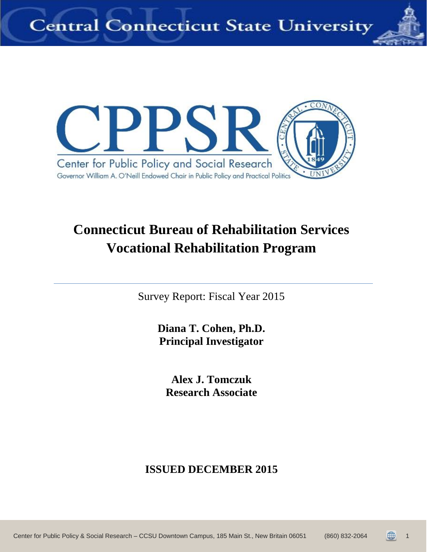



## **Connecticut Bureau of Rehabilitation Services Vocational Rehabilitation Program**

Survey Report: Fiscal Year 2015

**Diana T. Cohen, Ph.D. Principal Investigator**

**Alex J. Tomczuk Research Associate**

## **ISSUED DECEMBER 2015**

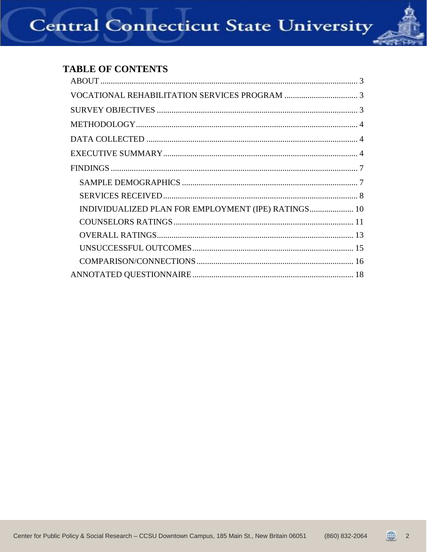## **TABLE OF CONTENTS**

| INDIVIDUALIZED PLAN FOR EMPLOYMENT (IPE) RATINGS 10 |
|-----------------------------------------------------|
|                                                     |
|                                                     |
|                                                     |
|                                                     |
|                                                     |



 $\sqrt{2}$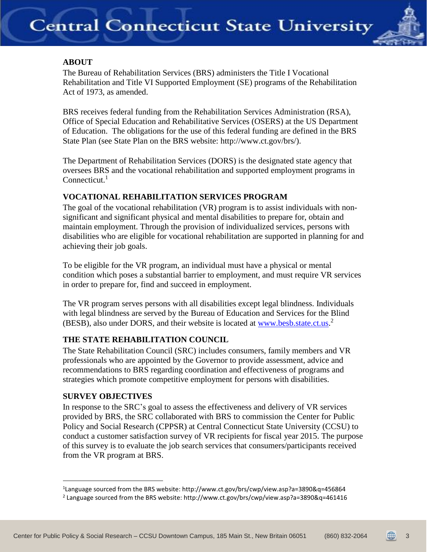

## <span id="page-2-0"></span>**ABOUT**

The Bureau of Rehabilitation Services (BRS) administers the Title I Vocational Rehabilitation and Title VI Supported Employment (SE) programs of the Rehabilitation Act of 1973, as amended.

BRS receives federal funding from the Rehabilitation Services Administration (RSA), Office of Special Education and Rehabilitative Services (OSERS) at the US Department of Education. The obligations for the use of this federal funding are defined in the BRS State Plan (see State Plan on the BRS website: http://www.ct.gov/brs/).

The Department of Rehabilitation Services (DORS) is the designated state agency that oversees BRS and the vocational rehabilitation and supported employment programs in  $Connecticut.<sup>1</sup>$ 

## <span id="page-2-1"></span>**VOCATIONAL REHABILITATION SERVICES PROGRAM**

The goal of the vocational rehabilitation (VR) program is to assist individuals with nonsignificant and significant physical and mental disabilities to prepare for, obtain and maintain employment. Through the provision of individualized services, persons with disabilities who are eligible for vocational rehabilitation are supported in planning for and achieving their job goals.

To be eligible for the VR program, an individual must have a physical or mental condition which poses a substantial barrier to employment, and must require VR services in order to prepare for, find and succeed in employment.

The VR program serves persons with all disabilities except legal blindness. Individuals with legal blindness are served by the Bureau of Education and Services for the Blind (BESB), also under DORS, and their website is located at [www.besb.state.ct.us.](http://www.besb.state.ct.us/)<sup>2</sup>

## <span id="page-2-2"></span>**THE STATE REHABILITATION COUNCIL**

The State Rehabilitation Council (SRC) includes consumers, family members and VR professionals who are appointed by the Governor to provide assessment, advice and recommendations to BRS regarding coordination and effectiveness of programs and strategies which promote competitive employment for persons with disabilities.

## **SURVEY OBJECTIVES**

<span id="page-2-3"></span> $\overline{a}$ 

In response to the SRC's goal to assess the effectiveness and delivery of VR services provided by BRS, the SRC collaborated with BRS to commission the Center for Public Policy and Social Research (CPPSR) at Central Connecticut State University (CCSU) to conduct a customer satisfaction survey of VR recipients for fiscal year 2015. The purpose of this survey is to evaluate the job search services that consumers/participants received from the VR program at BRS.

3

<sup>1</sup> Language sourced from the BRS website: http://www.ct.gov/brs/cwp/view.asp?a=3890&q=456864

<sup>2</sup> Language sourced from the BRS website: http://www.ct.gov/brs/cwp/view.asp?a=3890&q=461416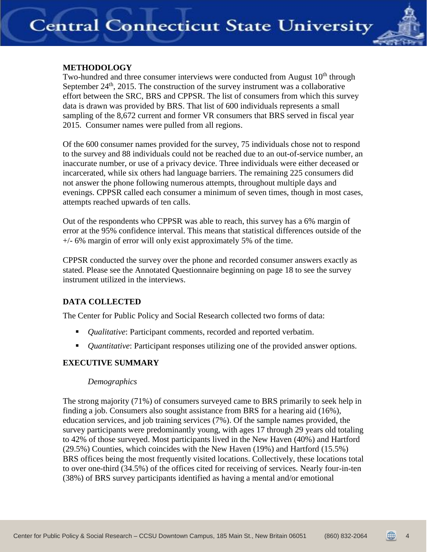

### **METHODOLOGY**

Two-hundred and three consumer interviews were conducted from August  $10<sup>th</sup>$  through September  $24<sup>th</sup>$ , 2015. The construction of the survey instrument was a collaborative effort between the SRC, BRS and CPPSR. The list of consumers from which this survey data is drawn was provided by BRS. That list of 600 individuals represents a small sampling of the 8,672 current and former VR consumers that BRS served in fiscal year 2015. Consumer names were pulled from all regions.

Of the 600 consumer names provided for the survey, 75 individuals chose not to respond to the survey and 88 individuals could not be reached due to an out-of-service number, an inaccurate number, or use of a privacy device. Three individuals were either deceased or incarcerated, while six others had language barriers. The remaining 225 consumers did not answer the phone following numerous attempts, throughout multiple days and evenings. CPPSR called each consumer a minimum of seven times, though in most cases, attempts reached upwards of ten calls.

Out of the respondents who CPPSR was able to reach, this survey has a 6% margin of error at the 95% confidence interval. This means that statistical differences outside of the  $+/-$  6% margin of error will only exist approximately 5% of the time.

CPPSR conducted the survey over the phone and recorded consumer answers exactly as stated. Please see the Annotated Questionnaire beginning on page 18 to see the survey instrument utilized in the interviews.

### **DATA COLLECTED**

The Center for Public Policy and Social Research collected two forms of data:

- <span id="page-3-0"></span>**•** *Qualitative*: Participant comments, recorded and reported verbatim.
- *Quantitative*: Participant responses utilizing one of the provided answer options.

## <span id="page-3-1"></span>**EXECUTIVE SUMMARY**

### *Demographics*

The strong majority (71%) of consumers surveyed came to BRS primarily to seek help in finding a job. Consumers also sought assistance from BRS for a hearing aid (16%), education services, and job training services (7%). Of the sample names provided, the survey participants were predominantly young, with ages 17 through 29 years old totaling to 42% of those surveyed. Most participants lived in the New Haven (40%) and Hartford (29.5%) Counties, which coincides with the New Haven (19%) and Hartford (15.5%) BRS offices being the most frequently visited locations. Collectively, these locations total to over one-third (34.5%) of the offices cited for receiving of services. Nearly four-in-ten (38%) of BRS survey participants identified as having a mental and/or emotional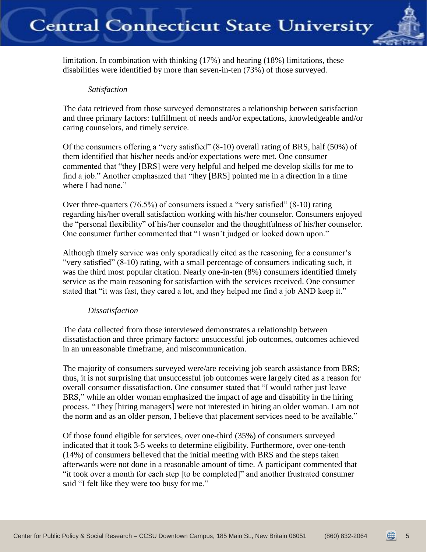

limitation. In combination with thinking (17%) and hearing (18%) limitations, these disabilities were identified by more than seven-in-ten (73%) of those surveyed.

#### *Satisfaction*

The data retrieved from those surveyed demonstrates a relationship between satisfaction and three primary factors: fulfillment of needs and/or expectations, knowledgeable and/or caring counselors, and timely service.

Of the consumers offering a "very satisfied" (8-10) overall rating of BRS, half (50%) of them identified that his/her needs and/or expectations were met. One consumer commented that "they [BRS] were very helpful and helped me develop skills for me to find a job." Another emphasized that "they [BRS] pointed me in a direction in a time where I had none."

Over three-quarters (76.5%) of consumers issued a "very satisfied" (8-10) rating regarding his/her overall satisfaction working with his/her counselor. Consumers enjoyed the "personal flexibility" of his/her counselor and the thoughtfulness of his/her counselor. One consumer further commented that "I wasn't judged or looked down upon."

Although timely service was only sporadically cited as the reasoning for a consumer's "very satisfied" (8-10) rating, with a small percentage of consumers indicating such, it was the third most popular citation. Nearly one-in-ten (8%) consumers identified timely service as the main reasoning for satisfaction with the services received. One consumer stated that "it was fast, they cared a lot, and they helped me find a job AND keep it."

### *Dissatisfaction*

The data collected from those interviewed demonstrates a relationship between dissatisfaction and three primary factors: unsuccessful job outcomes, outcomes achieved in an unreasonable timeframe, and miscommunication.

The majority of consumers surveyed were/are receiving job search assistance from BRS; thus, it is not surprising that unsuccessful job outcomes were largely cited as a reason for overall consumer dissatisfaction. One consumer stated that "I would rather just leave BRS," while an older woman emphasized the impact of age and disability in the hiring process. "They [hiring managers] were not interested in hiring an older woman. I am not the norm and as an older person, I believe that placement services need to be available."

Of those found eligible for services, over one-third (35%) of consumers surveyed indicated that it took 3-5 weeks to determine eligibility. Furthermore, over one-tenth (14%) of consumers believed that the initial meeting with BRS and the steps taken afterwards were not done in a reasonable amount of time. A participant commented that "it took over a month for each step [to be completed]" and another frustrated consumer said "I felt like they were too busy for me."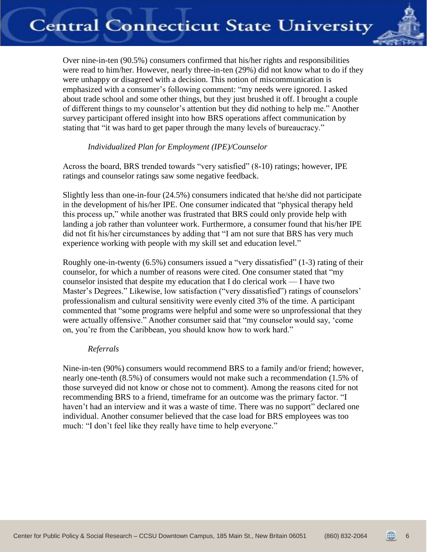

Over nine-in-ten (90.5%) consumers confirmed that his/her rights and responsibilities were read to him/her. However, nearly three-in-ten (29%) did not know what to do if they were unhappy or disagreed with a decision. This notion of miscommunication is emphasized with a consumer's following comment: "my needs were ignored. I asked about trade school and some other things, but they just brushed it off. I brought a couple of different things to my counselor's attention but they did nothing to help me." Another survey participant offered insight into how BRS operations affect communication by stating that "it was hard to get paper through the many levels of bureaucracy."

### <span id="page-5-0"></span>*Individualized Plan for Employment (IPE)/Counselor*

Across the board, BRS trended towards "very satisfied" (8-10) ratings; however, IPE ratings and counselor ratings saw some negative feedback.

Slightly less than one-in-four (24.5%) consumers indicated that he/she did not participate in the development of his/her IPE. One consumer indicated that "physical therapy held this process up," while another was frustrated that BRS could only provide help with landing a job rather than volunteer work. Furthermore, a consumer found that his/her IPE did not fit his/her circumstances by adding that "I am not sure that BRS has very much experience working with people with my skill set and education level."

Roughly one-in-twenty (6.5%) consumers issued a "very dissatisfied" (1-3) rating of their counselor, for which a number of reasons were cited. One consumer stated that "my counselor insisted that despite my education that I do clerical work — I have two Master's Degrees." Likewise, low satisfaction ("very dissatisfied") ratings of counselors' professionalism and cultural sensitivity were evenly cited 3% of the time. A participant commented that "some programs were helpful and some were so unprofessional that they were actually offensive." Another consumer said that "my counselor would say, 'come on, you're from the Caribbean, you should know how to work hard."

#### *Referrals*

Nine-in-ten (90%) consumers would recommend BRS to a family and/or friend; however, nearly one-tenth (8.5%) of consumers would not make such a recommendation (1.5% of those surveyed did not know or chose not to comment). Among the reasons cited for not recommending BRS to a friend, timeframe for an outcome was the primary factor. "I haven't had an interview and it was a waste of time. There was no support" declared one individual. Another consumer believed that the case load for BRS employees was too much: "I don't feel like they really have time to help everyone."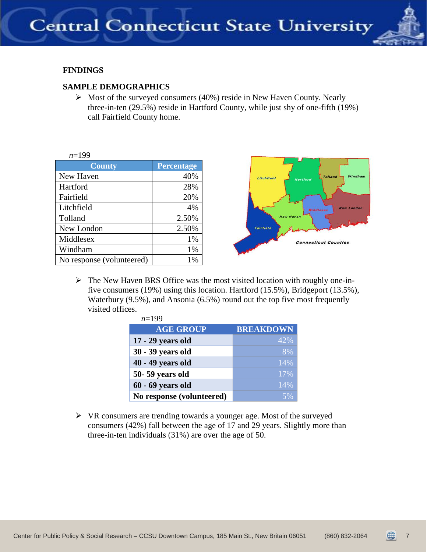

## **FINDINGS**

### <span id="page-6-0"></span>**SAMPLE DEMOGRAPHICS**

 $\triangleright$  Most of the surveyed consumers (40%) reside in New Haven County. Nearly three-in-ten (29.5%) reside in Hartford County, while just shy of one-fifth (19%) call Fairfield County home.

| $n=199$                   |                   |
|---------------------------|-------------------|
| <b>County</b>             | <b>Percentage</b> |
| New Haven                 | 40%               |
| Hartford                  | 28%               |
| Fairfield                 | 20%               |
| Litchfield                | 4%                |
| Tolland                   | 2.50%             |
| New London                | 2.50%             |
| Middlesex                 | 1%                |
| Windham                   | 1%                |
| No response (volunteered) | 1%                |



 $\triangleright$  The New Haven BRS Office was the most visited location with roughly one-infive consumers (19%) using this location. Hartford (15.5%), Bridgeport (13.5%), Waterbury (9.5%), and Ansonia (6.5%) round out the top five most frequently visited offices. *n*=199

| $n=199$                   |                  |
|---------------------------|------------------|
| <b>AGE GROUP</b>          | <b>BREAKDOWN</b> |
| 17 - 29 years old         | 42%              |
| 30 - 39 years old         | 8%               |
| 40 - 49 years old         | 14%              |
| 50-59 years old           | 17%              |
| $60 - 69$ years old       | 14%              |
| No response (volunteered) | 5%               |

 $\triangleright$  VR consumers are trending towards a younger age. Most of the surveyed consumers (42%) fall between the age of 17 and 29 years. Slightly more than three-in-ten individuals (31%) are over the age of 50.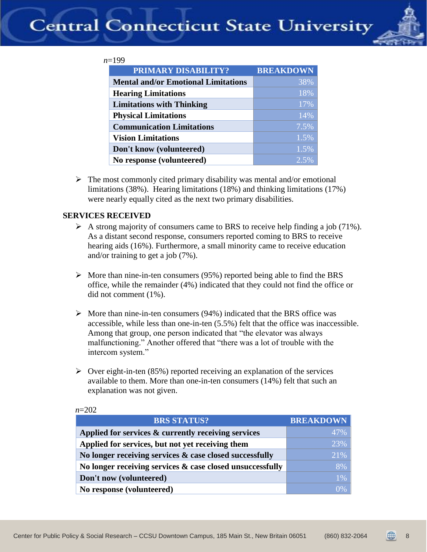

| PRIMARY DISABILITY?                        | <b>BREAKDOWN</b> |
|--------------------------------------------|------------------|
| <b>Mental and/or Emotional Limitations</b> | 38%              |
| <b>Hearing Limitations</b>                 | 18%              |
| <b>Limitations with Thinking</b>           | 17%              |
| <b>Physical Limitations</b>                | 14%              |
| <b>Communication Limitations</b>           | 7.5%             |
| <b>Vision Limitations</b>                  | 1.5%             |
| Don't know (volunteered)                   | 1.5%             |
| No response (volunteered)                  | 2.5%             |

 $\triangleright$  The most commonly cited primary disability was mental and/or emotional limitations (38%). Hearing limitations (18%) and thinking limitations (17%) were nearly equally cited as the next two primary disabilities.

#### <span id="page-7-0"></span>**SERVICES RECEIVED**

- A strong majority of consumers came to BRS to receive help finding a job (71%). As a distant second response, consumers reported coming to BRS to receive hearing aids (16%). Furthermore, a small minority came to receive education and/or training to get a job (7%).
- $\triangleright$  More than nine-in-ten consumers (95%) reported being able to find the BRS office, while the remainder (4%) indicated that they could not find the office or did not comment (1%).
- $\triangleright$  More than nine-in-ten consumers (94%) indicated that the BRS office was accessible, while less than one-in-ten (5.5%) felt that the office was inaccessible. Among that group, one person indicated that "the elevator was always malfunctioning." Another offered that "there was a lot of trouble with the intercom system."
- $\triangleright$  Over eight-in-ten (85%) reported receiving an explanation of the services available to them. More than one-in-ten consumers (14%) felt that such an explanation was not given.

| <b>BRS STATUS?</b>                                        | <b>BREAKDOWN</b> |
|-----------------------------------------------------------|------------------|
| Applied for services & currently receiving services       | 47%              |
| Applied for services, but not yet receiving them          | 23%              |
| No longer receiving services & case closed successfully   | 21%              |
| No longer receiving services & case closed unsuccessfully | 8%               |
| Don't now (volunteered)                                   | $1\%$            |
| No response (volunteered)                                 | $0\%$            |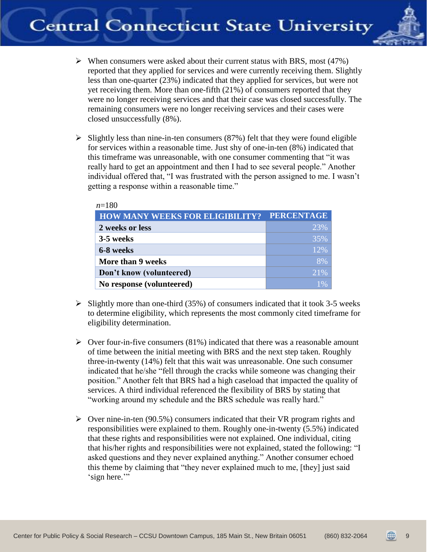

- $\triangleright$  When consumers were asked about their current status with BRS, most (47%) reported that they applied for services and were currently receiving them. Slightly less than one-quarter (23%) indicated that they applied for services, but were not yet receiving them. More than one-fifth (21%) of consumers reported that they were no longer receiving services and that their case was closed successfully. The remaining consumers were no longer receiving services and their cases were closed unsuccessfully (8%).
- $\triangleright$  Slightly less than nine-in-ten consumers (87%) felt that they were found eligible for services within a reasonable time. Just shy of one-in-ten (8%) indicated that this timeframe was unreasonable, with one consumer commenting that "it was really hard to get an appointment and then I had to see several people." Another individual offered that, "I was frustrated with the person assigned to me. I wasn't getting a response within a reasonable time."

| $n=180$                                |                   |
|----------------------------------------|-------------------|
| <b>HOW MANY WEEKS FOR ELIGIBILITY?</b> | <b>PERCENTAGE</b> |
| 2 weeks or less                        | 23%               |
| 3-5 weeks                              | 35%               |
| 6-8 weeks                              | 12%               |
| More than 9 weeks                      | 8%                |
| Don't know (volunteered)               | $21\%$            |
| No response (volunteered)              |                   |

- $\triangleright$  Slightly more than one-third (35%) of consumers indicated that it took 3-5 weeks to determine eligibility, which represents the most commonly cited timeframe for eligibility determination.
- $\triangleright$  Over four-in-five consumers (81%) indicated that there was a reasonable amount of time between the initial meeting with BRS and the next step taken. Roughly three-in-twenty (14%) felt that this wait was unreasonable. One such consumer indicated that he/she "fell through the cracks while someone was changing their position." Another felt that BRS had a high caseload that impacted the quality of services. A third individual referenced the flexibility of BRS by stating that "working around my schedule and the BRS schedule was really hard."
- $\triangleright$  Over nine-in-ten (90.5%) consumers indicated that their VR program rights and responsibilities were explained to them. Roughly one-in-twenty (5.5%) indicated that these rights and responsibilities were not explained. One individual, citing that his/her rights and responsibilities were not explained, stated the following: "I asked questions and they never explained anything." Another consumer echoed this theme by claiming that "they never explained much to me, [they] just said 'sign here."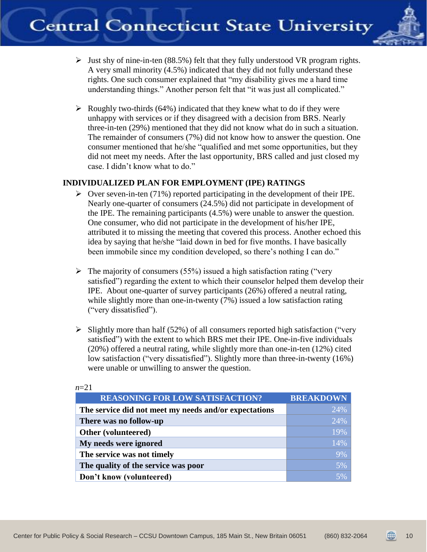

- $\triangleright$  Just shy of nine-in-ten (88.5%) felt that they fully understood VR program rights. A very small minority (4.5%) indicated that they did not fully understand these rights. One such consumer explained that "my disability gives me a hard time understanding things." Another person felt that "it was just all complicated."
- $\triangleright$  Roughly two-thirds (64%) indicated that they knew what to do if they were unhappy with services or if they disagreed with a decision from BRS. Nearly three-in-ten (29%) mentioned that they did not know what do in such a situation. The remainder of consumers (7%) did not know how to answer the question. One consumer mentioned that he/she "qualified and met some opportunities, but they did not meet my needs. After the last opportunity, BRS called and just closed my case. I didn't know what to do."

## <span id="page-9-0"></span>**INDIVIDUALIZED PLAN FOR EMPLOYMENT (IPE) RATINGS**

- $\triangleright$  Over seven-in-ten (71%) reported participating in the development of their IPE. Nearly one-quarter of consumers (24.5%) did not participate in development of the IPE. The remaining participants (4.5%) were unable to answer the question. One consumer, who did not participate in the development of his/her IPE, attributed it to missing the meeting that covered this process. Another echoed this idea by saying that he/she "laid down in bed for five months. I have basically been immobile since my condition developed, so there's nothing I can do."
- $\triangleright$  The majority of consumers (55%) issued a high satisfaction rating ("very satisfied") regarding the extent to which their counselor helped them develop their IPE. About one-quarter of survey participants (26%) offered a neutral rating, while slightly more than one-in-twenty (7%) issued a low satisfaction rating ("very dissatisfied").
- $\triangleright$  Slightly more than half (52%) of all consumers reported high satisfaction ("very") satisfied") with the extent to which BRS met their IPE. One-in-five individuals (20%) offered a neutral rating, while slightly more than one-in-ten (12%) cited low satisfaction ("very dissatisfied"). Slightly more than three-in-twenty (16%) were unable or unwilling to answer the question.

| <b>REASONING FOR LOW SATISFACTION?</b>                | <b>BREAKDOWN</b> |
|-------------------------------------------------------|------------------|
| The service did not meet my needs and/or expectations | 24%              |
| There was no follow-up                                | 24%              |
| Other (volunteered)                                   | 19%              |
| My needs were ignored                                 | 14%              |
| The service was not timely                            | 9%               |
| The quality of the service was poor                   | 5%               |
| Don't know (volunteered)                              | 5%               |

#### *n*=21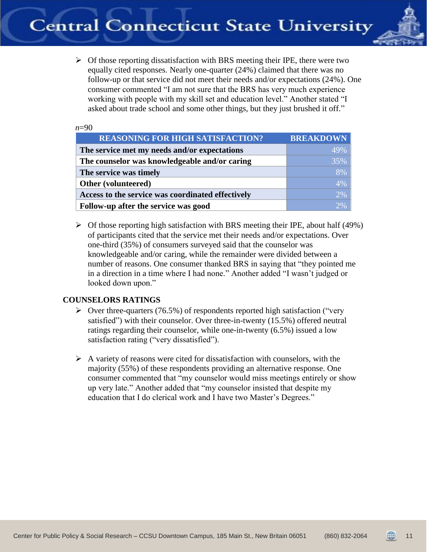

 $\triangleright$  Of those reporting dissatisfaction with BRS meeting their IPE, there were two equally cited responses. Nearly one-quarter (24%) claimed that there was no follow-up or that service did not meet their needs and/or expectations (24%). One consumer commented "I am not sure that the BRS has very much experience working with people with my skill set and education level." Another stated "I asked about trade school and some other things, but they just brushed it off."

#### *n*=90

| <b>REASONING FOR HIGH SATISFACTION?</b>           | <b>BREAKDOWN</b> |
|---------------------------------------------------|------------------|
| The service met my needs and/or expectations      | 49%              |
| The counselor was knowledgeable and/or caring     | 35%              |
| The service was timely                            | 8%               |
| Other (volunteered)                               | 4%               |
| Access to the service was coordinated effectively | 2%               |
| Follow-up after the service was good              | 2%               |

 $\triangleright$  Of those reporting high satisfaction with BRS meeting their IPE, about half (49%) of participants cited that the service met their needs and/or expectations. Over one-third (35%) of consumers surveyed said that the counselor was knowledgeable and/or caring, while the remainder were divided between a number of reasons. One consumer thanked BRS in saying that "they pointed me in a direction in a time where I had none." Another added "I wasn't judged or looked down upon."

### <span id="page-10-0"></span>**COUNSELORS RATINGS**

- $\triangleright$  Over three-quarters (76.5%) of respondents reported high satisfaction ("very") satisfied") with their counselor. Over three-in-twenty (15.5%) offered neutral ratings regarding their counselor, while one-in-twenty (6.5%) issued a low satisfaction rating ("very dissatisfied").
- $\triangleright$  A variety of reasons were cited for dissatisfaction with counselors, with the majority (55%) of these respondents providing an alternative response. One consumer commented that "my counselor would miss meetings entirely or show up very late." Another added that "my counselor insisted that despite my education that I do clerical work and I have two Master's Degrees."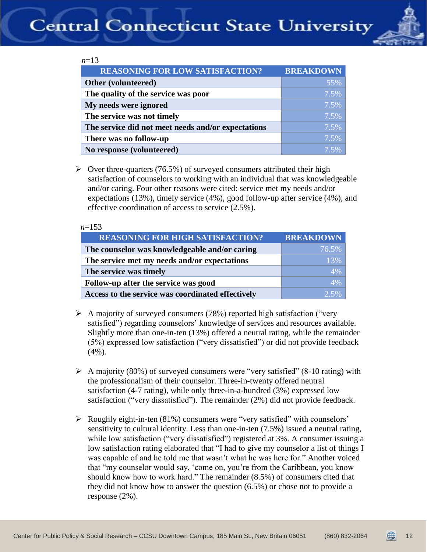

#### *n*=13

| <b>REASONING FOR LOW SATISFACTION?</b>             | <b>BREAKDOWN</b> |
|----------------------------------------------------|------------------|
| Other (volunteered)                                | 55%              |
| The quality of the service was poor                | 7.5%             |
| My needs were ignored                              | 7.5%             |
| The service was not timely                         | 7.5%             |
| The service did not meet needs and/or expectations | 7.5%             |
| There was no follow-up                             | 7.5%             |
| No response (volunteered)                          | 7.5%             |

 $\triangleright$  Over three-quarters (76.5%) of surveyed consumers attributed their high satisfaction of counselors to working with an individual that was knowledgeable and/or caring. Four other reasons were cited: service met my needs and/or expectations (13%), timely service (4%), good follow-up after service (4%), and effective coordination of access to service (2.5%).

#### *n*=153

| <b>REASONING FOR HIGH SATISFACTION?</b>           | <b>BREAKDOWN</b> |
|---------------------------------------------------|------------------|
| The counselor was knowledgeable and/or caring     | 76.5%            |
| The service met my needs and/or expectations      | 13%              |
| The service was timely                            | 4%               |
| Follow-up after the service was good              | 4%               |
| Access to the service was coordinated effectively | $2.5\%$          |

- $\triangleright$  A majority of surveyed consumers (78%) reported high satisfaction ("very satisfied") regarding counselors' knowledge of services and resources available. Slightly more than one-in-ten (13%) offered a neutral rating, while the remainder (5%) expressed low satisfaction ("very dissatisfied") or did not provide feedback (4%).
- $\triangleright$  A majority (80%) of surveyed consumers were "very satisfied" (8-10 rating) with the professionalism of their counselor. Three-in-twenty offered neutral satisfaction (4-7 rating), while only three-in-a-hundred (3%) expressed low satisfaction ("very dissatisfied"). The remainder (2%) did not provide feedback.
- $\triangleright$  Roughly eight-in-ten (81%) consumers were "very satisfied" with counselors' sensitivity to cultural identity. Less than one-in-ten (7.5%) issued a neutral rating, while low satisfaction ("very dissatisfied") registered at 3%. A consumer issuing a low satisfaction rating elaborated that "I had to give my counselor a list of things I was capable of and he told me that wasn't what he was here for." Another voiced that "my counselor would say, 'come on, you're from the Caribbean, you know should know how to work hard." The remainder (8.5%) of consumers cited that they did not know how to answer the question (6.5%) or chose not to provide a response (2%).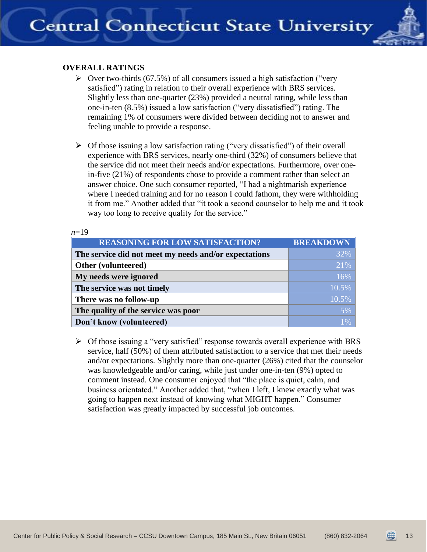

## <span id="page-12-0"></span>**OVERALL RATINGS**

 $10$ 

- $\triangleright$  Over two-thirds (67.5%) of all consumers issued a high satisfaction ("very") satisfied") rating in relation to their overall experience with BRS services. Slightly less than one-quarter (23%) provided a neutral rating, while less than one-in-ten (8.5%) issued a low satisfaction ("very dissatisfied") rating. The remaining 1% of consumers were divided between deciding not to answer and feeling unable to provide a response.
- $\triangleright$  Of those issuing a low satisfaction rating ("very dissatisfied") of their overall experience with BRS services, nearly one-third (32%) of consumers believe that the service did not meet their needs and/or expectations. Furthermore, over onein-five (21%) of respondents chose to provide a comment rather than select an answer choice. One such consumer reported, "I had a nightmarish experience where I needed training and for no reason I could fathom, they were withholding it from me." Another added that "it took a second counselor to help me and it took way too long to receive quality for the service."

| $n=19$                                                |                  |
|-------------------------------------------------------|------------------|
| <b>REASONING FOR LOW SATISFACTION?</b>                | <b>BREAKDOWN</b> |
| The service did not meet my needs and/or expectations | 32%              |
| Other (volunteered)                                   | 21%              |
| My needs were ignored                                 | 16%              |
| The service was not timely                            | 10.5%            |
| There was no follow-up                                | 10.5%            |
| The quality of the service was poor                   | 5%               |
| Don't know (volunteered)                              | $1\%$            |

 $\triangleright$  Of those issuing a "very satisfied" response towards overall experience with BRS service, half (50%) of them attributed satisfaction to a service that met their needs and/or expectations. Slightly more than one-quarter (26%) cited that the counselor was knowledgeable and/or caring, while just under one-in-ten (9%) opted to comment instead. One consumer enjoyed that "the place is quiet, calm, and business orientated." Another added that, "when I left, I knew exactly what was going to happen next instead of knowing what MIGHT happen." Consumer satisfaction was greatly impacted by successful job outcomes.

13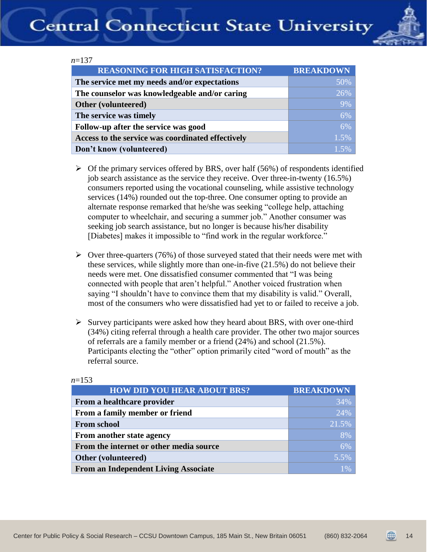

|--|--|

| <b>REASONING FOR HIGH SATISFACTION?</b>           | <b>BREAKDOWN</b> |
|---------------------------------------------------|------------------|
| The service met my needs and/or expectations      | 50%              |
| The counselor was knowledgeable and/or caring     | 26%              |
| Other (volunteered)                               | 9%               |
| The service was timely                            | 6%               |
| Follow-up after the service was good              | 6%               |
| Access to the service was coordinated effectively | 1.5%             |
| Don't know (volunteered)                          | $1.5\%$          |

- $\triangleright$  Of the primary services offered by BRS, over half (56%) of respondents identified job search assistance as the service they receive. Over three-in-twenty (16.5%) consumers reported using the vocational counseling, while assistive technology services (14%) rounded out the top-three. One consumer opting to provide an alternate response remarked that he/she was seeking "college help, attaching computer to wheelchair, and securing a summer job." Another consumer was seeking job search assistance, but no longer is because his/her disability [Diabetes] makes it impossible to "find work in the regular workforce."
- $\triangleright$  Over three-quarters (76%) of those surveyed stated that their needs were met with these services, while slightly more than one-in-five (21.5%) do not believe their needs were met. One dissatisfied consumer commented that "I was being connected with people that aren't helpful." Another voiced frustration when saying "I shouldn't have to convince them that my disability is valid." Overall, most of the consumers who were dissatisfied had yet to or failed to receive a job.
- $\triangleright$  Survey participants were asked how they heard about BRS, with over one-third (34%) citing referral through a health care provider. The other two major sources of referrals are a family member or a friend (24%) and school (21.5%). Participants electing the "other" option primarily cited "word of mouth" as the referral source.

| <b>HOW DID YOU HEAR ABOUT BRS?</b>          | <b>BREAKDOWN</b> |
|---------------------------------------------|------------------|
| From a healthcare provider                  | 34%              |
| From a family member or friend              | 24%              |
| <b>From school</b>                          | 21.5%            |
| From another state agency                   | 8%               |
| From the internet or other media source     | 6%               |
| Other (volunteered)                         | 5.5%             |
| <b>From an Independent Living Associate</b> | 1%               |

#### *n*=153

14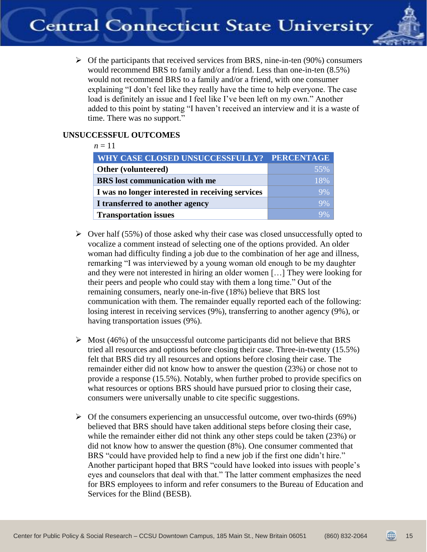

 $\triangleright$  Of the participants that received services from BRS, nine-in-ten (90%) consumers would recommend BRS to family and/or a friend. Less than one-in-ten (8.5%) would not recommend BRS to a family and/or a friend, with one consumer explaining "I don't feel like they really have the time to help everyone. The case load is definitely an issue and I feel like I've been left on my own." Another added to this point by stating "I haven't received an interview and it is a waste of time. There was no support."

## <span id="page-14-0"></span>**UNSUCCESSFUL OUTCOMES**

| $n=11$                                           |     |
|--------------------------------------------------|-----|
| WHY CASE CLOSED UNSUCCESSFULLY? PERCENTAGE       |     |
| Other (volunteered)                              | 55% |
| <b>BRS</b> lost communication with me            | 18% |
| I was no longer interested in receiving services | 9%  |
| I transferred to another agency                  | 9%  |
| <b>Transportation issues</b>                     |     |

- $\triangleright$  Over half (55%) of those asked why their case was closed unsuccessfully opted to vocalize a comment instead of selecting one of the options provided. An older woman had difficulty finding a job due to the combination of her age and illness, remarking "I was interviewed by a young woman old enough to be my daughter and they were not interested in hiring an older women […] They were looking for their peers and people who could stay with them a long time." Out of the remaining consumers, nearly one-in-five (18%) believe that BRS lost communication with them. The remainder equally reported each of the following: losing interest in receiving services (9%), transferring to another agency (9%), or having transportation issues (9%).
- $\triangleright$  Most (46%) of the unsuccessful outcome participants did not believe that BRS tried all resources and options before closing their case. Three-in-twenty (15.5%) felt that BRS did try all resources and options before closing their case. The remainder either did not know how to answer the question (23%) or chose not to provide a response (15.5%). Notably, when further probed to provide specifics on what resources or options BRS should have pursued prior to closing their case, consumers were universally unable to cite specific suggestions.
- $\triangleright$  Of the consumers experiencing an unsuccessful outcome, over two-thirds (69%) believed that BRS should have taken additional steps before closing their case, while the remainder either did not think any other steps could be taken (23%) or did not know how to answer the question (8%). One consumer commented that BRS "could have provided help to find a new job if the first one didn't hire." Another participant hoped that BRS "could have looked into issues with people's eyes and counselors that deal with that." The latter comment emphasizes the need for BRS employees to inform and refer consumers to the Bureau of Education and Services for the Blind (BESB).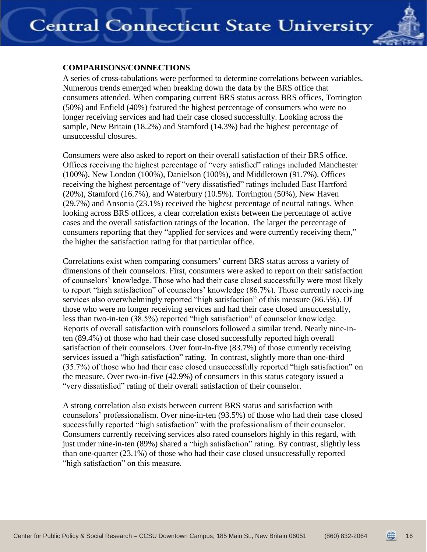

## <span id="page-15-0"></span>**COMPARISONS/CONNECTIONS**

A series of cross-tabulations were performed to determine correlations between variables. Numerous trends emerged when breaking down the data by the BRS office that consumers attended. When comparing current BRS status across BRS offices, Torrington (50%) and Enfield (40%) featured the highest percentage of consumers who were no longer receiving services and had their case closed successfully. Looking across the sample, New Britain (18.2%) and Stamford (14.3%) had the highest percentage of unsuccessful closures.

Consumers were also asked to report on their overall satisfaction of their BRS office. Offices receiving the highest percentage of "very satisfied" ratings included Manchester (100%), New London (100%), Danielson (100%), and Middletown (91.7%). Offices receiving the highest percentage of "very dissatisfied" ratings included East Hartford  $(20\%)$ , Stamford  $(16.7\%)$ , and Waterbury  $(10.5\%)$ . Torrington  $(50\%)$ , New Haven (29.7%) and Ansonia (23.1%) received the highest percentage of neutral ratings. When looking across BRS offices, a clear correlation exists between the percentage of active cases and the overall satisfaction ratings of the location. The larger the percentage of consumers reporting that they "applied for services and were currently receiving them," the higher the satisfaction rating for that particular office.

Correlations exist when comparing consumers' current BRS status across a variety of dimensions of their counselors. First, consumers were asked to report on their satisfaction of counselors' knowledge. Those who had their case closed successfully were most likely to report "high satisfaction" of counselors' knowledge (86.7%). Those currently receiving services also overwhelmingly reported "high satisfaction" of this measure (86.5%). Of those who were no longer receiving services and had their case closed unsuccessfully, less than two-in-ten (38.5%) reported "high satisfaction" of counselor knowledge. Reports of overall satisfaction with counselors followed a similar trend. Nearly nine-inten (89.4%) of those who had their case closed successfully reported high overall satisfaction of their counselors. Over four-in-five (83.7%) of those currently receiving services issued a "high satisfaction" rating. In contrast, slightly more than one-third (35.7%) of those who had their case closed unsuccessfully reported "high satisfaction" on the measure. Over two-in-five (42.9%) of consumers in this status category issued a "very dissatisfied" rating of their overall satisfaction of their counselor.

A strong correlation also exists between current BRS status and satisfaction with counselors' professionalism. Over nine-in-ten (93.5%) of those who had their case closed successfully reported "high satisfaction" with the professionalism of their counselor. Consumers currently receiving services also rated counselors highly in this regard, with just under nine-in-ten (89%) shared a "high satisfaction" rating. By contrast, slightly less than one-quarter (23.1%) of those who had their case closed unsuccessfully reported "high satisfaction" on this measure.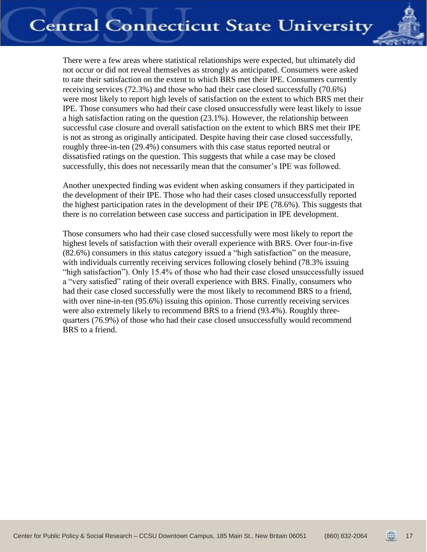

There were a few areas where statistical relationships were expected, but ultimately did not occur or did not reveal themselves as strongly as anticipated. Consumers were asked to rate their satisfaction on the extent to which BRS met their IPE. Consumers currently receiving services (72.3%) and those who had their case closed successfully (70.6%) were most likely to report high levels of satisfaction on the extent to which BRS met their IPE. Those consumers who had their case closed unsuccessfully were least likely to issue a high satisfaction rating on the question (23.1%). However, the relationship between successful case closure and overall satisfaction on the extent to which BRS met their IPE is not as strong as originally anticipated. Despite having their case closed successfully, roughly three-in-ten (29.4%) consumers with this case status reported neutral or dissatisfied ratings on the question. This suggests that while a case may be closed successfully, this does not necessarily mean that the consumer's IPE was followed.

Another unexpected finding was evident when asking consumers if they participated in the development of their IPE. Those who had their cases closed unsuccessfully reported the highest participation rates in the development of their IPE (78.6%). This suggests that there is no correlation between case success and participation in IPE development.

Those consumers who had their case closed successfully were most likely to report the highest levels of satisfaction with their overall experience with BRS. Over four-in-five (82.6%) consumers in this status category issued a "high satisfaction" on the measure, with individuals currently receiving services following closely behind (78.3% issuing "high satisfaction"). Only 15.4% of those who had their case closed unsuccessfully issued a "very satisfied" rating of their overall experience with BRS. Finally, consumers who had their case closed successfully were the most likely to recommend BRS to a friend, with over nine-in-ten (95.6%) issuing this opinion. Those currently receiving services were also extremely likely to recommend BRS to a friend (93.4%). Roughly threequarters (76.9%) of those who had their case closed unsuccessfully would recommend BRS to a friend.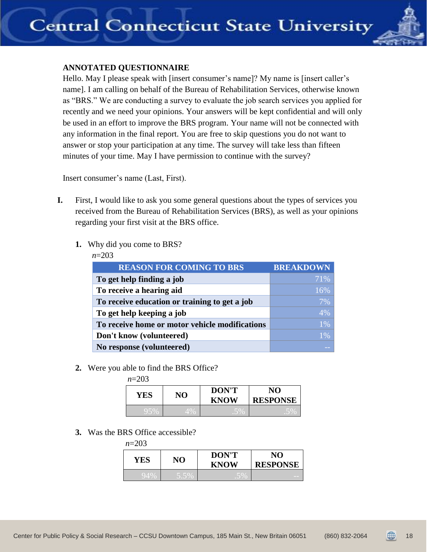

## <span id="page-17-0"></span>**ANNOTATED QUESTIONNAIRE**

Hello. May I please speak with [insert consumer's name]? My name is [insert caller's name]. I am calling on behalf of the Bureau of Rehabilitation Services, otherwise known as "BRS." We are conducting a survey to evaluate the job search services you applied for recently and we need your opinions. Your answers will be kept confidential and will only be used in an effort to improve the BRS program. Your name will not be connected with any information in the final report. You are free to skip questions you do not want to answer or stop your participation at any time. The survey will take less than fifteen minutes of your time. May I have permission to continue with the survey?

Insert consumer's name (Last, First).

- **I.** First, I would like to ask you some general questions about the types of services you received from the Bureau of Rehabilitation Services (BRS), as well as your opinions regarding your first visit at the BRS office.
	- **1.** Why did you come to BRS?

|--|

| <b>REASON FOR COMING TO BRS</b>                | <b>BREAKDOWN</b> |
|------------------------------------------------|------------------|
| To get help finding a job                      | 71%              |
| To receive a hearing aid                       | 16%              |
| To receive education or training to get a job  | 7%               |
| To get help keeping a job                      | 4%               |
| To receive home or motor vehicle modifications | 1%               |
| Don't know (volunteered)                       | 1%               |
| No response (volunteered)                      |                  |

**2.** Were you able to find the BRS Office?

*n*=203

| YES | NO   | <b>DON'T</b><br><b>KNOW</b> | NО<br><b>RESPONSE</b> |
|-----|------|-----------------------------|-----------------------|
|     | - 70 |                             |                       |

**3.** Was the BRS Office accessible?

| $n=203$ |      |                             |                       |
|---------|------|-----------------------------|-----------------------|
| YES     | NO   | <b>DON'T</b><br><b>KNOW</b> | NO<br><b>RESPONSE</b> |
| 94%     | 5.5% | .5%                         | _                     |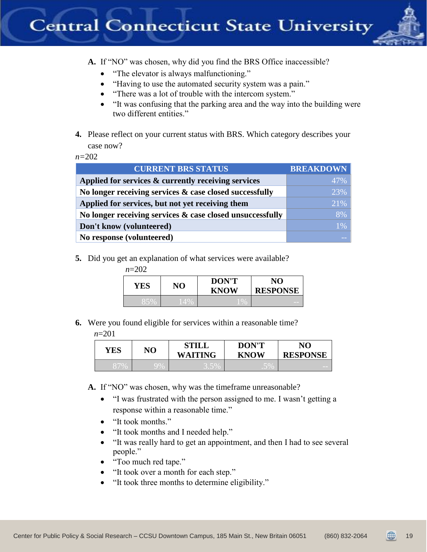

**A.** If "NO" was chosen, why did you find the BRS Office inaccessible?

- "The elevator is always malfunctioning."
- "Having to use the automated security system was a pain."
- "There was a lot of trouble with the intercom system."
- "It was confusing that the parking area and the way into the building were two different entities."
- **4.** Please reflect on your current status with BRS. Which category describes your case now?

*n=*202

| <b>CURRENT BRS STATUS</b>                                 | <b>BREAKDOWN</b> |
|-----------------------------------------------------------|------------------|
| Applied for services & currently receiving services       | 47%              |
| No longer receiving services & case closed successfully   | 23%              |
| Applied for services, but not yet receiving them          | 21%              |
| No longer receiving services & case closed unsuccessfully | 8%               |
| Don't know (volunteered)                                  | $1\%$            |
| No response (volunteered)                                 |                  |

**5.** Did you get an explanation of what services were available?

| $n=202$ |     |     |                             |                       |
|---------|-----|-----|-----------------------------|-----------------------|
|         | YES | NO  | <b>DON'T</b><br><b>KNOW</b> | NO<br><b>RESPONSE</b> |
|         | 85% | 14% | $1\%$                       | _                     |

**6.** Were you found eligible for services within a reasonable time?

*n*=201

| YES | NO | <b>STILL</b><br><b>WAITING</b> | <b>DON'T</b><br><b>KNOW</b> | NO<br><b>RESPONSE</b> |
|-----|----|--------------------------------|-----------------------------|-----------------------|
|     | 9% | $J$ , $J$ /(                   | $\sim$                      |                       |

**A.** If "NO" was chosen, why was the timeframe unreasonable?

- "I was frustrated with the person assigned to me. I wasn't getting a response within a reasonable time."
- "It took months."
- "It took months and I needed help."
- "It was really hard to get an appointment, and then I had to see several people."
- "Too much red tape."
- "It took over a month for each step."
- "It took three months to determine eligibility."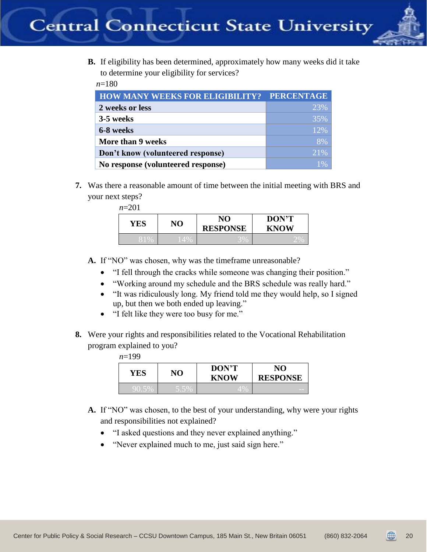

**B.** If eligibility has been determined, approximately how many weeks did it take to determine your eligibility for services?

*n*=180

| <b>HOW MANY WEEKS FOR ELIGIBILITY? PERCENTAGE</b> |     |
|---------------------------------------------------|-----|
| 2 weeks or less                                   | 23% |
| 3-5 weeks                                         | 35% |
| 6-8 weeks                                         | 12% |
| More than 9 weeks                                 | 8%  |
| Don't know (volunteered response)                 | 21% |
| No response (volunteered response)                | 1%  |

**7.** Was there a reasonable amount of time between the initial meeting with BRS and your next steps?

| YES | NO     | NO<br><b>RESPONSE</b> | DON'T<br><b>KNOW</b> |
|-----|--------|-----------------------|----------------------|
|     | $14\%$ | J 70                  |                      |

- **A.** If "NO" was chosen, why was the timeframe unreasonable?
	- "I fell through the cracks while someone was changing their position."
	- "Working around my schedule and the BRS schedule was really hard."
	- "It was ridiculously long. My friend told me they would help, so I signed up, but then we both ended up leaving."
	- "I felt like they were too busy for me."
- **8.** Were your rights and responsibilities related to the Vocational Rehabilitation program explained to you?

| $n=199$ |
|---------|
|---------|

| YES   | NО     | <b>DON'T</b><br><b>KNOW</b> | NO<br><b>RESPONSE</b> |
|-------|--------|-----------------------------|-----------------------|
| 90.5% | J.J 70 | 4%                          |                       |

- **A.** If "NO" was chosen, to the best of your understanding, why were your rights and responsibilities not explained?
	- "I asked questions and they never explained anything."
	- "Never explained much to me, just said sign here."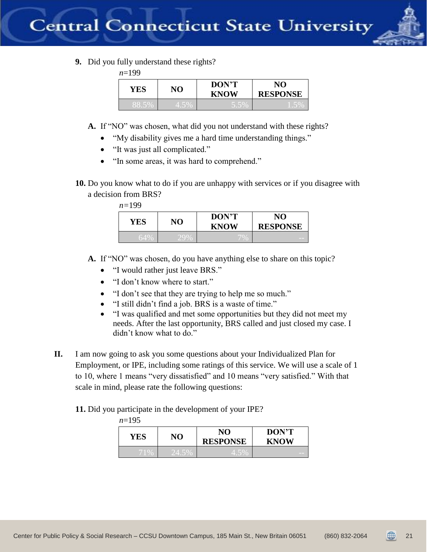

**9.** Did you fully understand these rights?

*n*=199

| YES     | NO    | <b>DON'T</b><br><b>KNOW</b> | NΟ<br><b>RESPONSE</b> |
|---------|-------|-----------------------------|-----------------------|
| $\circ$ | 4.JY0 |                             |                       |

- **A.** If "NO" was chosen, what did you not understand with these rights?
	- "My disability gives me a hard time understanding things."
	- "It was just all complicated."
	- "In some areas, it was hard to comprehend."
- **10.** Do you know what to do if you are unhappy with services or if you disagree with a decision from BRS?

*n=*199

| YES | NO  | <b>DON'T</b><br><b>KNOW</b> | NО<br><b>RESPONSE</b> |
|-----|-----|-----------------------------|-----------------------|
| 64% | 29% |                             |                       |

- **A.** If "NO" was chosen, do you have anything else to share on this topic?
	- "I would rather just leave BRS."
	- "I don't know where to start."
	- "I don't see that they are trying to help me so much."
	- "I still didn't find a job. BRS is a waste of time."
	- "I was qualified and met some opportunities but they did not meet my needs. After the last opportunity, BRS called and just closed my case. I didn't know what to do."
- **II.** I am now going to ask you some questions about your Individualized Plan for Employment, or IPE, including some ratings of this service. We will use a scale of 1 to 10, where 1 means "very dissatisfied" and 10 means "very satisfied." With that scale in mind, please rate the following questions:

**11.** Did you participate in the development of your IPE?

| $n=195$ |       |                       |                             |
|---------|-------|-----------------------|-----------------------------|
| YES     | NO    | NO<br><b>RESPONSE</b> | <b>DON'T</b><br><b>KNOW</b> |
| 71%     | 24.5% | 4.5%                  | __                          |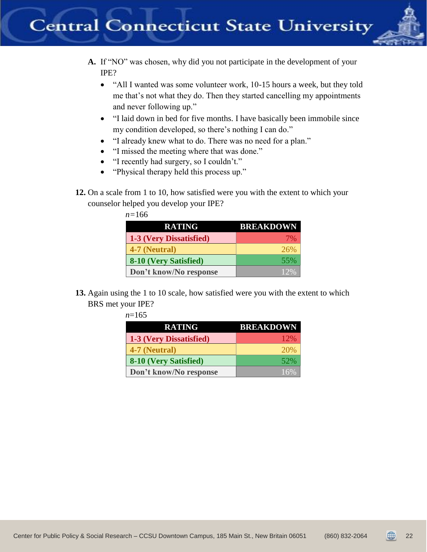

- **A.** If "NO" was chosen, why did you not participate in the development of your IPE?
	- "All I wanted was some volunteer work, 10-15 hours a week, but they told me that's not what they do. Then they started cancelling my appointments and never following up."
	- "I laid down in bed for five months. I have basically been immobile since my condition developed, so there's nothing I can do."
	- "I already knew what to do. There was no need for a plan."
	- "I missed the meeting where that was done."
	- "I recently had surgery, so I couldn't."
	- "Physical therapy held this process up."
- **12.** On a scale from 1 to 10, how satisfied were you with the extent to which your counselor helped you develop your IPE?

| $n = 166$ |
|-----------|
|-----------|

| <b>RATING</b>           | <b>BREAKDOWN</b> |
|-------------------------|------------------|
| 1-3 (Very Dissatisfied) | 7%               |
| 4-7 (Neutral)           | 26%              |
| 8-10 (Very Satisfied)   | 55%              |
| Don't know/No response  | 12%              |

**13.** Again using the 1 to 10 scale, how satisfied were you with the extent to which BRS met your IPE?

| $n=165$                 |                  |
|-------------------------|------------------|
| <b>RATING</b>           | <b>BREAKDOWN</b> |
| 1-3 (Very Dissatisfied) | 12%              |
| 4-7 (Neutral)           | 20%              |
| 8-10 (Very Satisfied)   | 52%              |
| Don't know/No response  | 16%              |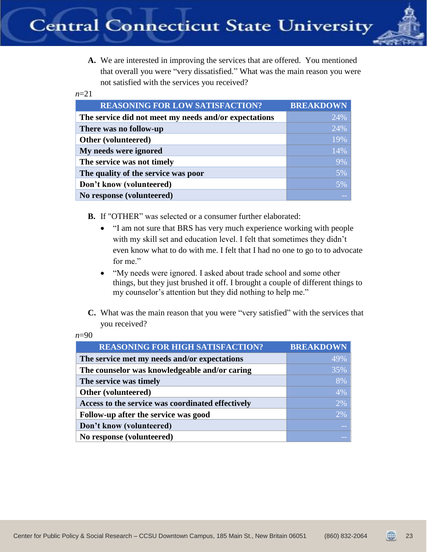

**A.** We are interested in improving the services that are offered. You mentioned that overall you were "very dissatisfied." What was the main reason you were not satisfied with the services you received?

#### *n*=21

| <b>REASONING FOR LOW SATISFACTION?</b>                | <b>BREAKDOWN</b> |
|-------------------------------------------------------|------------------|
| The service did not meet my needs and/or expectations | 24%              |
| There was no follow-up                                | 24%              |
| Other (volunteered)                                   | 19%              |
| My needs were ignored                                 | 14%              |
| The service was not timely                            | 9%               |
| The quality of the service was poor                   | 5%               |
| Don't know (volunteered)                              | 5%               |
| No response (volunteered)                             |                  |

**B.** If "OTHER" was selected or a consumer further elaborated:

- "I am not sure that BRS has very much experience working with people with my skill set and education level. I felt that sometimes they didn't even know what to do with me. I felt that I had no one to go to to advocate for me."
- "My needs were ignored. I asked about trade school and some other things, but they just brushed it off. I brought a couple of different things to my counselor's attention but they did nothing to help me."
- **C.** What was the main reason that you were "very satisfied" with the services that you received?

| <b>REASONING FOR HIGH SATISFACTION?</b>           | <b>BREAKDOWN</b> |
|---------------------------------------------------|------------------|
| The service met my needs and/or expectations      | 49%              |
| The counselor was knowledgeable and/or caring     | 35%              |
| The service was timely                            | 8%               |
| Other (volunteered)                               | 4%               |
| Access to the service was coordinated effectively | 2%               |
| Follow-up after the service was good              | 2%               |
| Don't know (volunteered)                          |                  |
| No response (volunteered)                         |                  |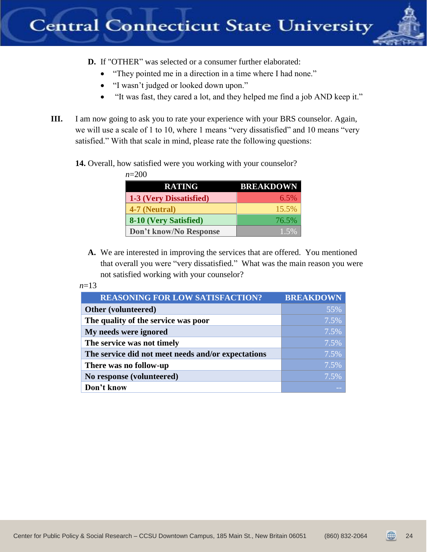

- **D.** If "OTHER" was selected or a consumer further elaborated:
	- "They pointed me in a direction in a time where I had none."
	- "I wasn't judged or looked down upon."
	- "It was fast, they cared a lot, and they helped me find a job AND keep it."
- **III.** I am now going to ask you to rate your experience with your BRS counselor. Again, we will use a scale of 1 to 10, where 1 means "very dissatisfied" and 10 means "very satisfied." With that scale in mind, please rate the following questions:

**14.** Overall, how satisfied were you working with your counselor?

*n*=200

| <b>RATING</b>           | <b>BREAKDOWN</b> |
|-------------------------|------------------|
| 1-3 (Very Dissatisfied) | $6.5\%$          |
| 4-7 (Neutral)           | 15.5%            |
| 8-10 (Very Satisfied)   | 76.5%            |
| Don't know/No Response  | 1.5%             |

**A.** We are interested in improving the services that are offered. You mentioned that overall you were "very dissatisfied." What was the main reason you were not satisfied working with your counselor?

 *n*=13

| <b>REASONING FOR LOW SATISFACTION?</b>             | <b>BREAKDOWN</b> |
|----------------------------------------------------|------------------|
| Other (volunteered)                                | 55%              |
| The quality of the service was poor                | 7.5%             |
| My needs were ignored                              | 7.5%             |
| The service was not timely                         | 7.5%             |
| The service did not meet needs and/or expectations | 7.5%             |
| There was no follow-up                             | 7.5%             |
| No response (volunteered)                          | 7.5%             |
| Don't know                                         |                  |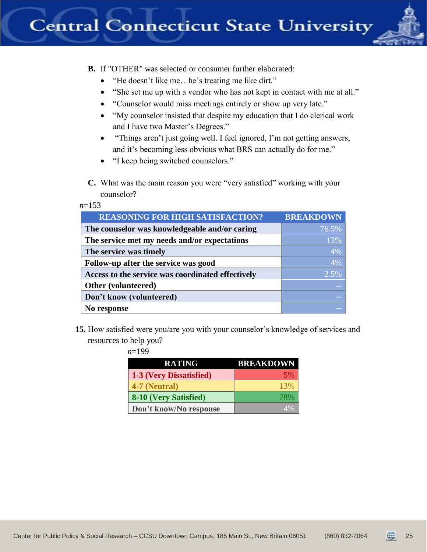

**B.** If "OTHER" was selected or consumer further elaborated:

- "He doesn't like me…he's treating me like dirt."
- "She set me up with a vendor who has not kept in contact with me at all."
- "Counselor would miss meetings entirely or show up very late."
- "My counselor insisted that despite my education that I do clerical work and I have two Master's Degrees."
- "Things aren't just going well. I feel ignored, I'm not getting answers, and it's becoming less obvious what BRS can actually do for me."
- "I keep being switched counselors."
- **C.** What was the main reason you were "very satisfied" working with your counselor?

 *n*=153

| <b>REASONING FOR HIGH SATISFACTION?</b>           | <b>BREAKDOWN</b> |
|---------------------------------------------------|------------------|
| The counselor was knowledgeable and/or caring     | 76.5%            |
| The service met my needs and/or expectations      | 13%              |
| The service was timely                            | 4%               |
| Follow-up after the service was good              | 4%               |
| Access to the service was coordinated effectively | 2.5%             |
| Other (volunteered)                               |                  |
| Don't know (volunteered)                          |                  |
| No response                                       |                  |

**15.** How satisfied were you/are you with your counselor's knowledge of services and resources to help you?

| n=199                   |                  |
|-------------------------|------------------|
| <b>RATING</b>           | <b>BREAKDOWN</b> |
| 1-3 (Very Dissatisfied) | 5%               |
| 4-7 (Neutral)           | 13%              |
| 8-10 (Very Satisfied)   | 78%              |
| Don't know/No response  |                  |

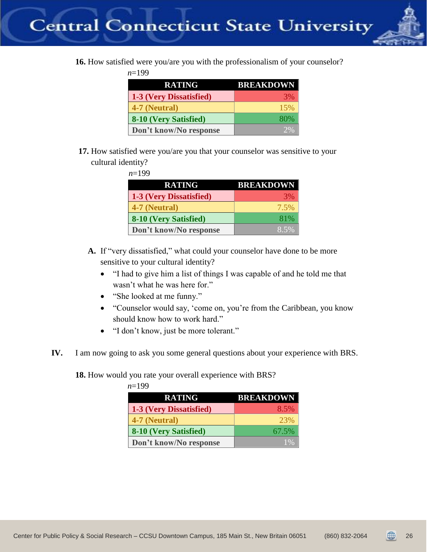

**16.** How satisfied were you/are you with the professionalism of your counselor?

*n*=199

| <b>RATING</b>           | <b>BREAKDOWN</b> |
|-------------------------|------------------|
| 1-3 (Very Dissatisfied) | <b>3%</b>        |
| 4-7 (Neutral)           | 15%              |
| 8-10 (Very Satisfied)   | 80%              |
| Don't know/No response  | 2%               |

**17.** How satisfied were you/are you that your counselor was sensitive to your cultural identity?

| $n=199$                 |                  |
|-------------------------|------------------|
| <b>RATING</b>           | <b>BREAKDOWN</b> |
| 1-3 (Very Dissatisfied) | 3%               |
| 4-7 (Neutral)           | 7.5%             |
| 8-10 (Very Satisfied)   | 81%              |
| Don't know/No response  | 8.5%             |

- **A.** If "very dissatisfied," what could your counselor have done to be more sensitive to your cultural identity?
	- "I had to give him a list of things I was capable of and he told me that wasn't what he was here for."
	- "She looked at me funny."
	- "Counselor would say, 'come on, you're from the Caribbean, you know should know how to work hard."
	- "I don't know, just be more tolerant."
- **IV.** I am now going to ask you some general questions about your experience with BRS.

**18.** How would you rate your overall experience with BRS?

| $n=199$ |                         |                  |
|---------|-------------------------|------------------|
|         | <b>RATING</b>           | <b>BREAKDOWN</b> |
|         | 1-3 (Very Dissatisfied) | 8.5%             |
|         | 4-7 (Neutral)           | 23%              |
|         | 8-10 (Very Satisfied)   | 67.5%            |
|         | Don't know/No response  | $1\%$            |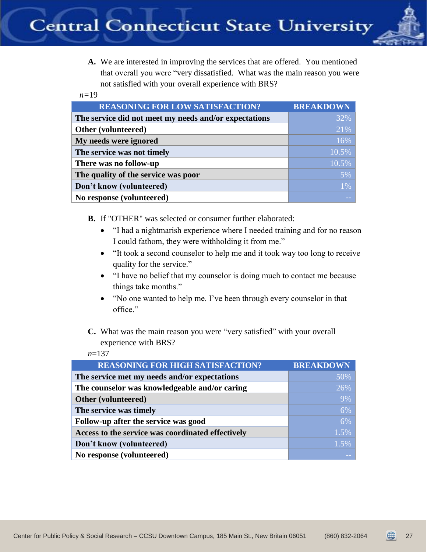

**A.** We are interested in improving the services that are offered. You mentioned that overall you were "very dissatisfied. What was the main reason you were not satisfied with your overall experience with BRS?

 *n=*19

| <b>REASONING FOR LOW SATISFACTION?</b>                | <b>BREAKDOWN</b> |
|-------------------------------------------------------|------------------|
| The service did not meet my needs and/or expectations | 32%              |
| Other (volunteered)                                   | 21%              |
| My needs were ignored                                 | 16%              |
| The service was not timely                            | 10.5%            |
| There was no follow-up                                | 10.5%            |
| The quality of the service was poor                   | 5%               |
| Don't know (volunteered)                              | 1%               |
| No response (volunteered)                             |                  |

**B.** If "OTHER" was selected or consumer further elaborated:

- "I had a nightmarish experience where I needed training and for no reason I could fathom, they were withholding it from me."
- "It took a second counselor to help me and it took way too long to receive quality for the service."
- "I have no belief that my counselor is doing much to contact me because things take months."
- "No one wanted to help me. I've been through every counselor in that office."
- **C.** What was the main reason you were "very satisfied" with your overall experience with BRS?

*n*=137

| <b>REASONING FOR HIGH SATISFACTION?</b>           | <b>BREAKDOWN</b> |
|---------------------------------------------------|------------------|
| The service met my needs and/or expectations      | 50%              |
| The counselor was knowledgeable and/or caring     | 26%              |
| Other (volunteered)                               | 9%               |
| The service was timely                            | 6%               |
| Follow-up after the service was good              | 6%               |
| Access to the service was coordinated effectively | 1.5%             |
| Don't know (volunteered)                          | 1.5%             |
| No response (volunteered)                         |                  |

27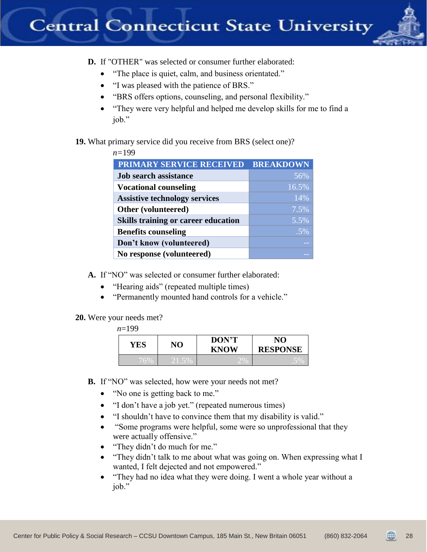

**D.** If "OTHER" was selected or consumer further elaborated:

- "The place is quiet, calm, and business orientated."
- "I was pleased with the patience of BRS."
- "BRS offers options, counseling, and personal flexibility."
- "They were very helpful and helped me develop skills for me to find a job."

## **19.** What primary service did you receive from BRS (select one)?

| $n = 199$                                  |                  |
|--------------------------------------------|------------------|
| PRIMARY SERVICE RECEIVED                   | <b>BREAKDOWN</b> |
| <b>Job search assistance</b>               | 56%              |
| <b>Vocational counseling</b>               | 16.5%            |
| <b>Assistive technology services</b>       | 14%              |
| Other (volunteered)                        | 7.5%             |
| <b>Skills training or career education</b> | 5.5%             |
| <b>Benefits counseling</b>                 | $.5\%$           |
| Don't know (volunteered)                   |                  |
| No response (volunteered)                  |                  |

**A.** If "NO" was selected or consumer further elaborated:

- "Hearing aids" (repeated multiple times)
- "Permanently mounted hand controls for a vehicle."

## **20.** Were your needs met?

## *n*=199

| YES | NO                           | <b>DON'T</b><br><b>KNOW</b> | NO<br><b>RESPONSE</b> |
|-----|------------------------------|-----------------------------|-----------------------|
|     | a de la provincia del contro |                             |                       |

- **B.** If "NO" was selected, how were your needs not met?
	- "No one is getting back to me."
	- "I don't have a job yet." (repeated numerous times)
	- "I shouldn't have to convince them that my disability is valid."
	- "Some programs were helpful, some were so unprofessional that they were actually offensive."
	- "They didn't do much for me."
	- "They didn't talk to me about what was going on. When expressing what I wanted, I felt dejected and not empowered."
	- "They had no idea what they were doing. I went a whole year without a job."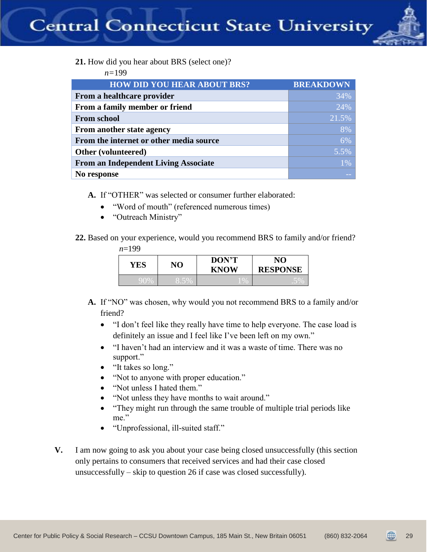

**21.** How did you hear about BRS (select one)?

*n=*199

| <b>HOW DID YOU HEAR ABOUT BRS?</b>          | <b>BREAKDOWN</b> |
|---------------------------------------------|------------------|
|                                             |                  |
| From a healthcare provider                  | 34%              |
| From a family member or friend              | 24%              |
| <b>From school</b>                          | 21.5%            |
| From another state agency                   | 8%               |
| From the internet or other media source     | 6%               |
| Other (volunteered)                         | 5.5%             |
| <b>From an Independent Living Associate</b> | $1\%$            |
| No response                                 |                  |

- **A.** If "OTHER" was selected or consumer further elaborated:
	- "Word of mouth" (referenced numerous times)
	- "Outreach Ministry"
- **22.** Based on your experience, would you recommend BRS to family and/or friend?

| $n=199$ |      |                             |                       |
|---------|------|-----------------------------|-----------------------|
| YES     | NO   | <b>DON'T</b><br><b>KNOW</b> | NO<br><b>RESPONSE</b> |
| 90%     | 8.5% | $\sqrt{6}$                  | .570                  |

- **A.** If "NO" was chosen, why would you not recommend BRS to a family and/or friend?
	- "I don't feel like they really have time to help everyone. The case load is definitely an issue and I feel like I've been left on my own."
	- "I haven't had an interview and it was a waste of time. There was no support."
	- "It takes so long."
	- "Not to anyone with proper education."
	- "Not unless I hated them."
	- "Not unless they have months to wait around."
	- "They might run through the same trouble of multiple trial periods like me."
	- "Unprofessional, ill-suited staff."
- **V.** I am now going to ask you about your case being closed unsuccessfully (this section only pertains to consumers that received services and had their case closed unsuccessfully – skip to question 26 if case was closed successfully).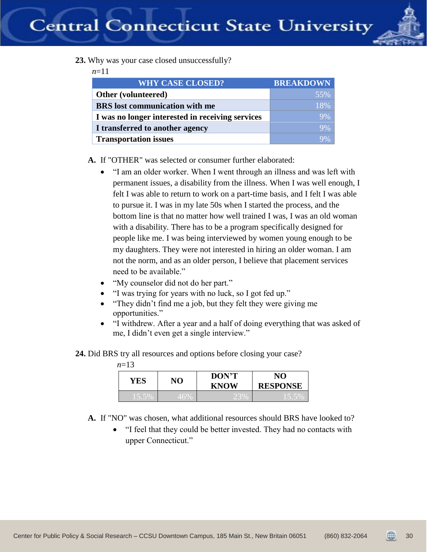

**23.** Why was your case closed unsuccessfully?

*n*=11

| <b>WHY CASE CLOSED?</b>                          | <b>BREAKDOWN</b> |
|--------------------------------------------------|------------------|
| Other (volunteered)                              | 55%              |
| <b>BRS</b> lost communication with me            | 18%              |
| I was no longer interested in receiving services | 9%               |
| I transferred to another agency                  | 9%               |
| <b>Transportation issues</b>                     | 9%               |

**A.** If "OTHER" was selected or consumer further elaborated:

- "I am an older worker. When I went through an illness and was left with permanent issues, a disability from the illness. When I was well enough, I felt I was able to return to work on a part-time basis, and I felt I was able to pursue it. I was in my late 50s when I started the process, and the bottom line is that no matter how well trained I was, I was an old woman with a disability. There has to be a program specifically designed for people like me. I was being interviewed by women young enough to be my daughters. They were not interested in hiring an older woman. I am not the norm, and as an older person, I believe that placement services need to be available."
- "My counselor did not do her part."
- "I was trying for years with no luck, so I got fed up."
- "They didn't find me a job, but they felt they were giving me opportunities."
- "I withdrew. After a year and a half of doing everything that was asked of me, I didn't even get a single interview."
- **24.** Did BRS try all resources and options before closing your case?

| YES | NО            | <b>DON'T</b><br><b>KNOW</b> | NO<br><b>RESPONSE</b> |
|-----|---------------|-----------------------------|-----------------------|
|     | $\nabla 46\%$ |                             |                       |

- **A.** If "NO" was chosen, what additional resources should BRS have looked to?
	- "I feel that they could be better invested. They had no contacts with upper Connecticut."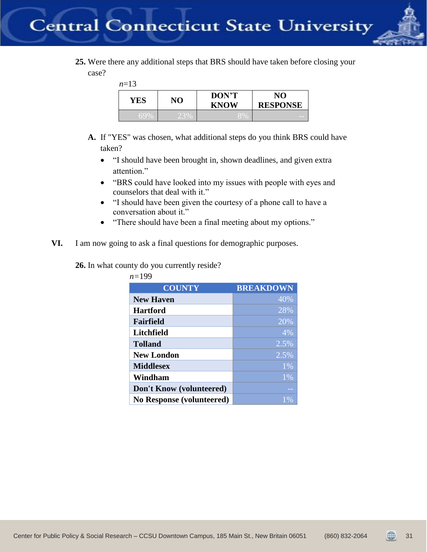

**25.** Were there any additional steps that BRS should have taken before closing your case?

*n*=13

| YES | NO            | <b>DON'T</b><br><b>KNOW</b> | NO.<br><b>RESPONSE</b> |
|-----|---------------|-----------------------------|------------------------|
|     | $\sim$ $\sim$ |                             |                        |

- **A.** If "YES" was chosen, what additional steps do you think BRS could have taken?
	- "I should have been brought in, shown deadlines, and given extra attention."
	- "BRS could have looked into my issues with people with eyes and counselors that deal with it."
	- "I should have been given the courtesy of a phone call to have a conversation about it."
	- "There should have been a final meeting about my options."
- **VI.** I am now going to ask a final questions for demographic purposes.

**26.** In what county do you currently reside?

| <b>COUNTY</b>                    | <b>BREAKDOWN</b> |
|----------------------------------|------------------|
| <b>New Haven</b>                 | 40%              |
| <b>Hartford</b>                  | 28%              |
| Fairfield                        | 20%              |
| Litchfield                       | 4%               |
| <b>Tolland</b>                   | 2.5%             |
| <b>New London</b>                | 2.5%             |
| <b>Middlesex</b>                 | 1%               |
| Windham                          | 1%               |
| Don't Know (volunteered)         |                  |
| <b>No Response (volunteered)</b> | $1\%$            |

*n=*199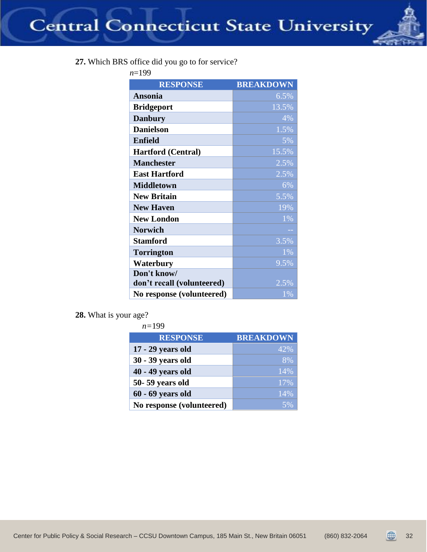

| <b>RESPONSE</b>            | <b>BREAKDOWN</b> |
|----------------------------|------------------|
| <b>Ansonia</b>             | 6.5%             |
| <b>Bridgeport</b>          | 13.5%            |
| <b>Danbury</b>             | 4%               |
| <b>Danielson</b>           | 1.5%             |
| <b>Enfield</b>             | 5%               |
| <b>Hartford (Central)</b>  | 15.5%            |
| <b>Manchester</b>          | 2.5%             |
| <b>East Hartford</b>       | 2.5%             |
| <b>Middletown</b>          | 6%               |
| <b>New Britain</b>         | 5.5%             |
| <b>New Haven</b>           | 19%              |
| <b>New London</b>          | 1%               |
| <b>Norwich</b>             |                  |
| <b>Stamford</b>            | 3.5%             |
| <b>Torrington</b>          | 1%               |
| Waterbury                  | 9.5%             |
| Don't know/                |                  |
| don't recall (volunteered) | 2.5%             |
| No response (volunteered)  | $1\%$            |

**28.** What is your age?

| $n = 199$                 |                  |
|---------------------------|------------------|
| <b>RESPONSE</b>           | <b>BREAKDOWN</b> |
| 17 - 29 years old         | 42%              |
| 30 - 39 years old         | 8%               |
| 40 - 49 years old         | 14%              |
| 50-59 years old           | 17%              |
| $60 - 69$ years old       | 14%              |
| No response (volunteered) |                  |